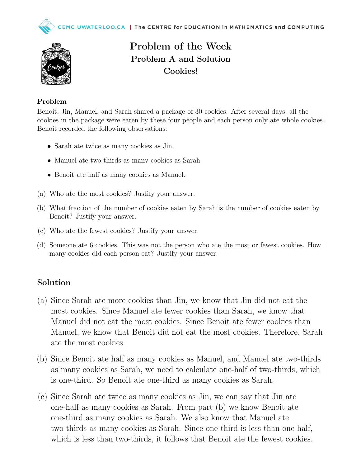

Problem of the Week Problem A and Solution Cookies!

## Problem

Benoit, Jin, Manuel, and Sarah shared a package of 30 cookies. After several days, all the cookies in the package were eaten by these four people and each person only ate whole cookies. Benoit recorded the following observations:

- Sarah ate twice as many cookies as Jin.
- Manuel ate two-thirds as many cookies as Sarah.
- Benoit ate half as many cookies as Manuel.
- (a) Who ate the most cookies? Justify your answer.
- (b) What fraction of the number of cookies eaten by Sarah is the number of cookies eaten by Benoit? Justify your answer.
- (c) Who ate the fewest cookies? Justify your answer.
- (d) Someone ate 6 cookies. This was not the person who ate the most or fewest cookies. How many cookies did each person eat? Justify your answer.

## Solution

- (a) Since Sarah ate more cookies than Jin, we know that Jin did not eat the most cookies. Since Manuel ate fewer cookies than Sarah, we know that Manuel did not eat the most cookies. Since Benoit ate fewer cookies than Manuel, we know that Benoit did not eat the most cookies. Therefore, Sarah ate the most cookies.
- (b) Since Benoit ate half as many cookies as Manuel, and Manuel ate two-thirds as many cookies as Sarah, we need to calculate one-half of two-thirds, which is one-third. So Benoit ate one-third as many cookies as Sarah.
- (c) Since Sarah ate twice as many cookies as Jin, we can say that Jin ate one-half as many cookies as Sarah. From part (b) we know Benoit ate one-third as many cookies as Sarah. We also know that Manuel ate two-thirds as many cookies as Sarah. Since one-third is less than one-half, which is less than two-thirds, it follows that Benoit ate the fewest cookies.